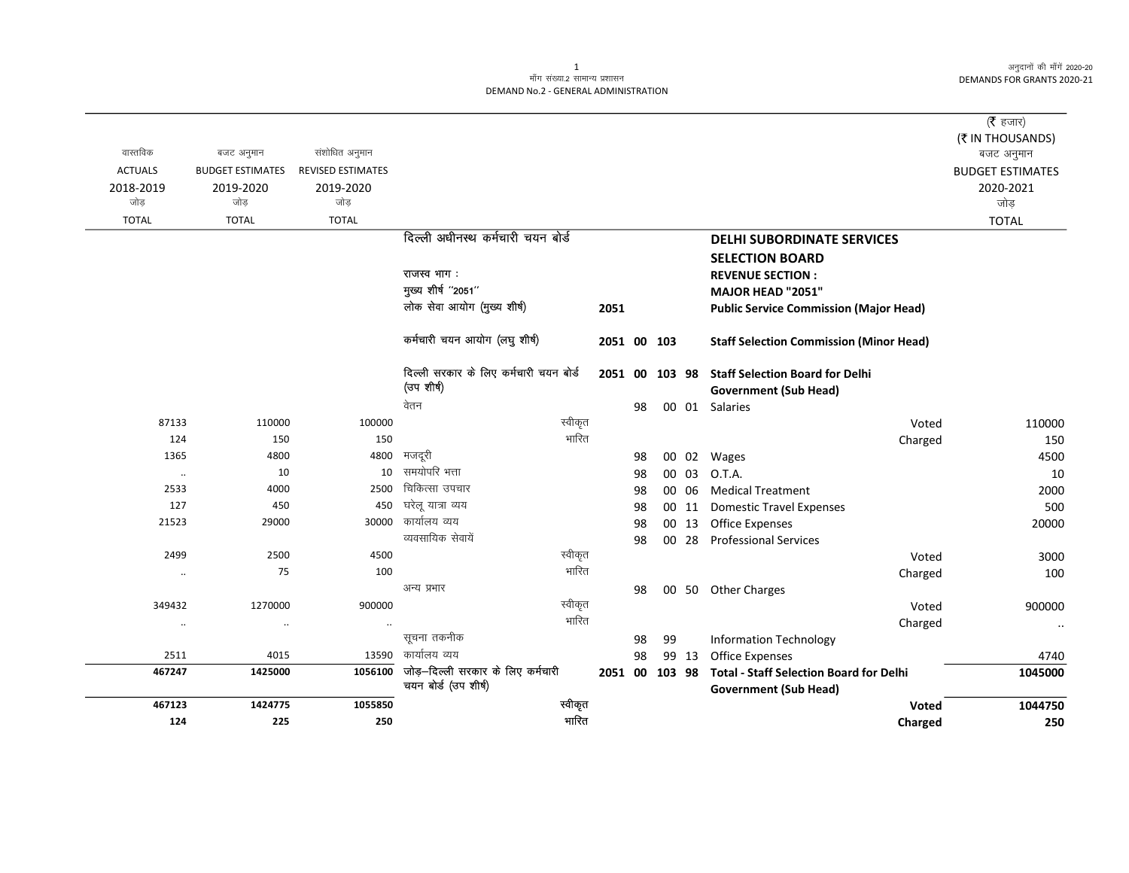अनुदानों की माँगें 2020-20 DEMANDS FOR GRANTS 2020-21

## .<br>माँग संख्या.2 सामान्य प्रशासन DEMAND No.2 - GENERAL ADMINISTRATION

|                      |                         |                          |                                                           |      |                |    |    |       |                                                                                | ( $\bar{\tau}$ हजार)                 |
|----------------------|-------------------------|--------------------------|-----------------------------------------------------------|------|----------------|----|----|-------|--------------------------------------------------------------------------------|--------------------------------------|
| वास्तविक             | बजट अनुमान              | संशोधित अनुमान           |                                                           |      |                |    |    |       |                                                                                | (₹ IN THOUSANDS)                     |
| <b>ACTUALS</b>       | <b>BUDGET ESTIMATES</b> | <b>REVISED ESTIMATES</b> |                                                           |      |                |    |    |       |                                                                                | बजट अनुमान                           |
| 2018-2019            | 2019-2020               | 2019-2020                |                                                           |      |                |    |    |       |                                                                                | <b>BUDGET ESTIMATES</b><br>2020-2021 |
| जोड                  | जोड़                    | जोड                      |                                                           |      |                |    |    |       |                                                                                | जोड़                                 |
| <b>TOTAL</b>         | <b>TOTAL</b>            | <b>TOTAL</b>             |                                                           |      |                |    |    |       |                                                                                | <b>TOTAL</b>                         |
|                      |                         |                          | दिल्ली अधीनस्थ कर्मचारी चयन बोर्ड                         |      |                |    |    |       | <b>DELHI SUBORDINATE SERVICES</b>                                              |                                      |
|                      |                         |                          |                                                           |      |                |    |    |       |                                                                                |                                      |
|                      |                         |                          | राजस्व भाग:                                               |      |                |    |    |       | <b>SELECTION BOARD</b>                                                         |                                      |
|                      |                         |                          | मुख्य शीर्ष "2051"                                        |      |                |    |    |       | <b>REVENUE SECTION:</b><br>MAJOR HEAD "2051"                                   |                                      |
|                      |                         |                          | लोक सेवा आयोग (मुख्य शीर्ष)                               | 2051 |                |    |    |       |                                                                                |                                      |
|                      |                         |                          |                                                           |      |                |    |    |       | <b>Public Service Commission (Major Head)</b>                                  |                                      |
|                      |                         |                          | कर्मचारी चयन आयोग (लघु शीर्ष)                             |      | 2051 00 103    |    |    |       | <b>Staff Selection Commission (Minor Head)</b>                                 |                                      |
|                      |                         |                          | दिल्ली सरकार के लिए कर्मचारी चयन बोर्ड                    |      |                |    |    |       | 2051 00 103 98 Staff Selection Board for Delhi                                 |                                      |
|                      |                         |                          | (उपशीर्ष)                                                 |      |                |    |    |       | <b>Government (Sub Head)</b>                                                   |                                      |
|                      |                         |                          | वेतन                                                      |      |                | 98 |    |       | 00 01 Salaries                                                                 |                                      |
| 87133                | 110000                  | 100000                   | स्वीकृत                                                   |      |                |    |    |       | Voted                                                                          | 110000                               |
| 124                  | 150                     | 150                      | भारित                                                     |      |                |    |    |       | Charged                                                                        | 150                                  |
| 1365                 | 4800                    | 4800                     | मजदूरी                                                    |      |                | 98 |    |       | 00 02 Wages                                                                    | 4500                                 |
| $\ldots$             | 10                      | 10                       | समयोपरि भत्ता                                             |      |                | 98 |    | 00 03 | 0.T.A.                                                                         | 10                                   |
| 2533                 | 4000                    | 2500                     | चिकित्सा उपचार                                            |      |                | 98 |    | 00 06 | <b>Medical Treatment</b>                                                       | 2000                                 |
| 127                  | 450                     | 450                      | घरेलू यात्रा व्यय                                         |      |                | 98 |    | 00 11 | <b>Domestic Travel Expenses</b>                                                | 500                                  |
| 21523                | 29000                   | 30000                    | कार्यालय व्यय                                             |      |                | 98 |    |       | 00 13 Office Expenses                                                          | 20000                                |
|                      |                         |                          | व्यवसायिक सेवायें                                         |      |                | 98 |    |       | 00 28 Professional Services                                                    |                                      |
| 2499                 | 2500                    | 4500                     | स्वीकृत                                                   |      |                |    |    |       | Voted                                                                          | 3000                                 |
| $\ddotsc$            | 75                      | 100                      | भारित                                                     |      |                |    |    |       | Charged                                                                        | 100                                  |
|                      |                         |                          | अन्य प्रभार                                               |      |                | 98 |    |       | 00 50 Other Charges                                                            |                                      |
| 349432               | 1270000                 | 900000                   | स्वीकृत                                                   |      |                |    |    |       | Voted                                                                          | 900000                               |
| $\ddot{\phantom{0}}$ | $\cdot\cdot$            | $\cdot\cdot$             | भारित                                                     |      |                |    |    |       | Charged                                                                        | $\ddotsc$                            |
|                      |                         |                          | सूचना तकनीक                                               |      |                | 98 | 99 |       | <b>Information Technology</b>                                                  |                                      |
| 2511                 | 4015                    | 13590                    | कार्यालय व्यय                                             |      |                | 98 |    | 99 13 | <b>Office Expenses</b>                                                         | 4740                                 |
| 467247               | 1425000                 | 1056100                  | जोड़-दिल्ली सरकार के लिए कर्मचारी<br>चयन बोर्ड (उप शीर्ष) |      | 2051 00 103 98 |    |    |       | <b>Total - Staff Selection Board for Delhi</b><br><b>Government (Sub Head)</b> | 1045000                              |
| 467123               | 1424775                 | 1055850                  | स्वीकृत                                                   |      |                |    |    |       | Voted                                                                          | 1044750                              |
| 124                  | 225                     | 250                      | भारित                                                     |      |                |    |    |       | Charged                                                                        | 250                                  |

 $\mathbf{1}$